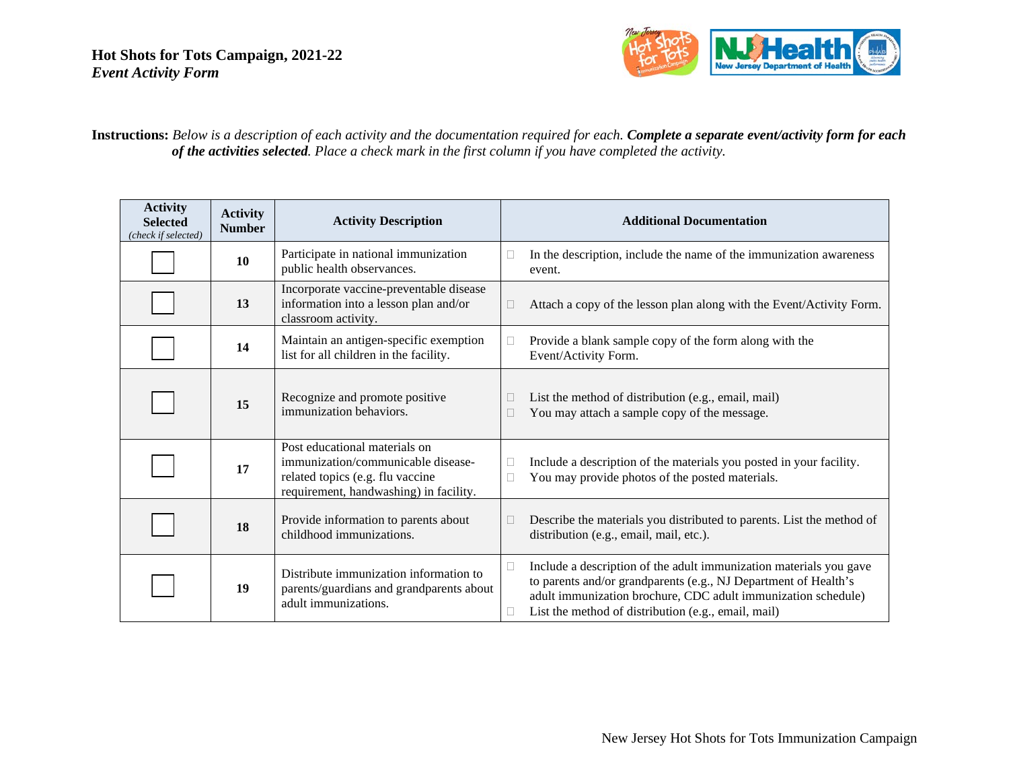

### **Instructions:** *Below is a description of each activity and the documentation required for each. Complete a separate event/activity form for each of the activities selected. Place a check mark in the first column if you have completed the activity.*

| <b>Activity</b><br><b>Selected</b><br>(check if selected) | <b>Activity</b><br><b>Number</b> | <b>Activity Description</b>                                                                                                                       | <b>Additional Documentation</b>                                                                                                                                                                                                                                               |
|-----------------------------------------------------------|----------------------------------|---------------------------------------------------------------------------------------------------------------------------------------------------|-------------------------------------------------------------------------------------------------------------------------------------------------------------------------------------------------------------------------------------------------------------------------------|
|                                                           | 10                               | Participate in national immunization<br>public health observances.                                                                                | In the description, include the name of the immunization awareness<br>□<br>event.                                                                                                                                                                                             |
|                                                           | 13                               | Incorporate vaccine-preventable disease<br>information into a lesson plan and/or<br>classroom activity.                                           | Attach a copy of the lesson plan along with the Event/Activity Form.                                                                                                                                                                                                          |
|                                                           | 14                               | Maintain an antigen-specific exemption<br>list for all children in the facility.                                                                  | Provide a blank sample copy of the form along with the<br>Event/Activity Form.                                                                                                                                                                                                |
|                                                           | 15                               | Recognize and promote positive<br>immunization behaviors.                                                                                         | List the method of distribution (e.g., email, mail)<br>You may attach a sample copy of the message.                                                                                                                                                                           |
|                                                           | 17                               | Post educational materials on<br>immunization/communicable disease-<br>related topics (e.g. flu vaccine<br>requirement, handwashing) in facility. | Include a description of the materials you posted in your facility.<br>You may provide photos of the posted materials.                                                                                                                                                        |
|                                                           | 18                               | Provide information to parents about<br>childhood immunizations.                                                                                  | Describe the materials you distributed to parents. List the method of<br>distribution (e.g., email, mail, etc.).                                                                                                                                                              |
|                                                           | 19                               | Distribute immunization information to<br>parents/guardians and grandparents about<br>adult immunizations.                                        | Include a description of the adult immunization materials you gave<br>$\mathbf{H}$<br>to parents and/or grandparents (e.g., NJ Department of Health's<br>adult immunization brochure, CDC adult immunization schedule)<br>List the method of distribution (e.g., email, mail) |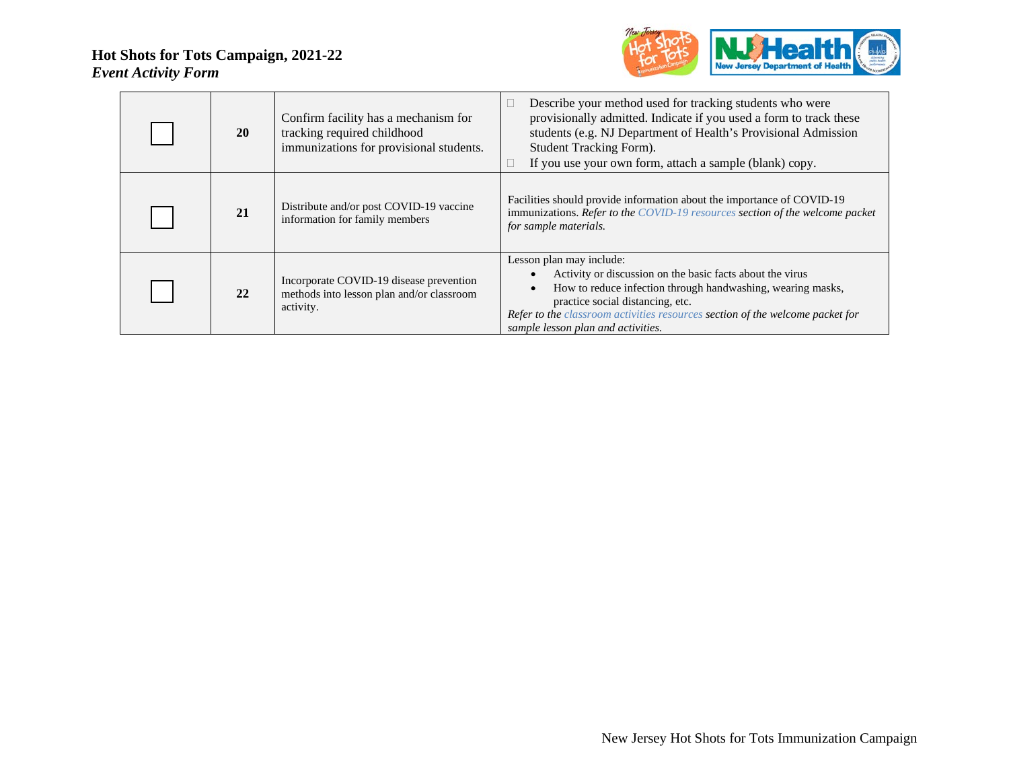

| <b>20</b> | Confirm facility has a mechanism for<br>tracking required childhood<br>immunizations for provisional students. | Describe your method used for tracking students who were<br>provisionally admitted. Indicate if you used a form to track these<br>students (e.g. NJ Department of Health's Provisional Admission<br>Student Tracking Form).<br>If you use your own form, attach a sample (blank) copy.                          |
|-----------|----------------------------------------------------------------------------------------------------------------|-----------------------------------------------------------------------------------------------------------------------------------------------------------------------------------------------------------------------------------------------------------------------------------------------------------------|
| 21        | Distribute and/or post COVID-19 vaccine<br>information for family members                                      | Facilities should provide information about the importance of COVID-19<br>immunizations. Refer to the COVID-19 resources section of the welcome packet<br>for sample materials.                                                                                                                                 |
| 22        | Incorporate COVID-19 disease prevention<br>methods into lesson plan and/or classroom<br>activity.              | Lesson plan may include:<br>Activity or discussion on the basic facts about the virus<br>How to reduce infection through handwashing, wearing masks,<br>practice social distancing, etc.<br>Refer to the classroom activities resources section of the welcome packet for<br>sample lesson plan and activities. |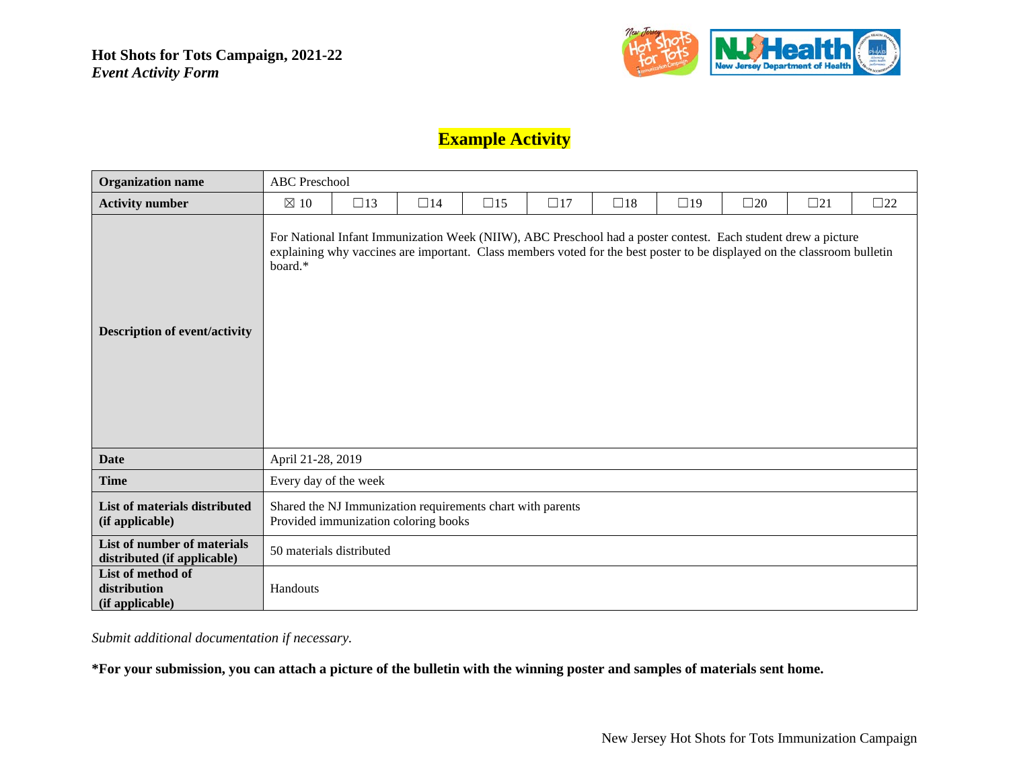

# **Example Activity**

| <b>Organization name</b>                                   |                                      | <b>ABC</b> Preschool                                                                                                                                                                                                                      |           |                                                            |              |           |           |              |              |              |  |  |
|------------------------------------------------------------|--------------------------------------|-------------------------------------------------------------------------------------------------------------------------------------------------------------------------------------------------------------------------------------------|-----------|------------------------------------------------------------|--------------|-----------|-----------|--------------|--------------|--------------|--|--|
| <b>Activity number</b>                                     | $\boxtimes$ 10                       | $\square$ 13                                                                                                                                                                                                                              | $\Box$ 14 | $\square$ 15                                               | $\square$ 17 | $\Box$ 18 | $\Box$ 19 | $\square$ 20 | $\square$ 21 | $\square$ 22 |  |  |
| <b>Description of event/activity</b>                       | board.*                              | For National Infant Immunization Week (NIIW), ABC Preschool had a poster contest. Each student drew a picture<br>explaining why vaccines are important. Class members voted for the best poster to be displayed on the classroom bulletin |           |                                                            |              |           |           |              |              |              |  |  |
| <b>Date</b>                                                | April 21-28, 2019                    |                                                                                                                                                                                                                                           |           |                                                            |              |           |           |              |              |              |  |  |
| <b>Time</b>                                                | Every day of the week                |                                                                                                                                                                                                                                           |           |                                                            |              |           |           |              |              |              |  |  |
| List of materials distributed<br>(if applicable)           | Provided immunization coloring books |                                                                                                                                                                                                                                           |           | Shared the NJ Immunization requirements chart with parents |              |           |           |              |              |              |  |  |
| List of number of materials<br>distributed (if applicable) |                                      | 50 materials distributed                                                                                                                                                                                                                  |           |                                                            |              |           |           |              |              |              |  |  |
| List of method of<br>distribution<br>(if applicable)       | Handouts                             |                                                                                                                                                                                                                                           |           |                                                            |              |           |           |              |              |              |  |  |

*Submit additional documentation if necessary.*

**\*For your submission, you can attach a picture of the bulletin with the winning poster and samples of materials sent home.**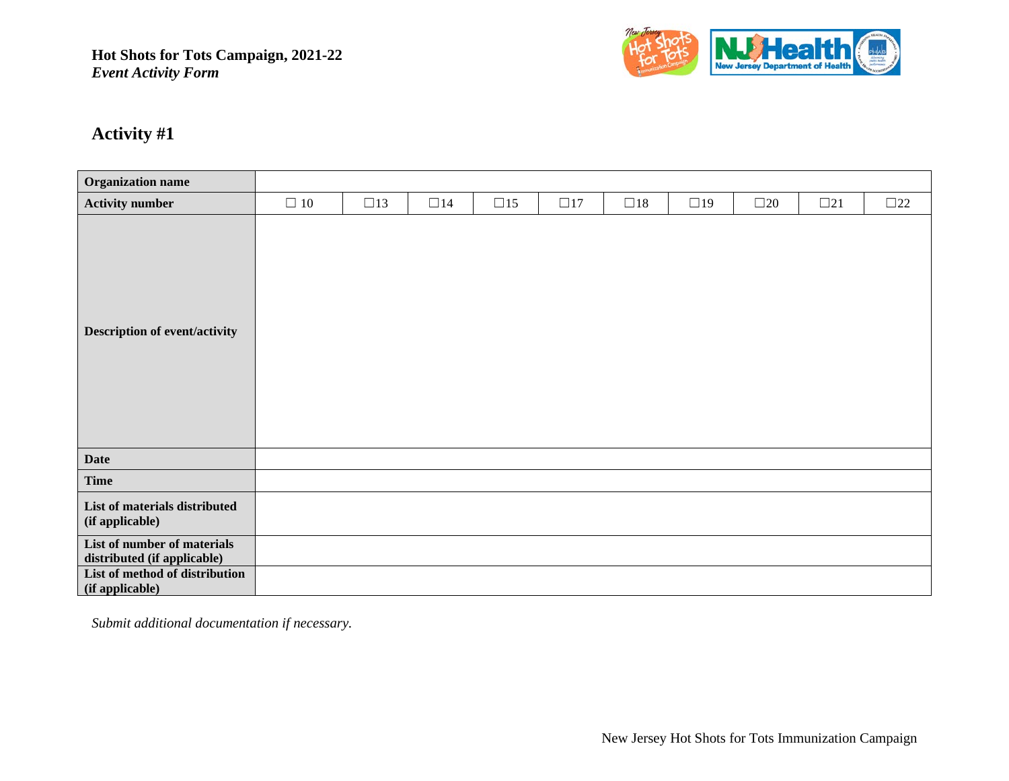

# **Activity #1**

| <b>Organization name</b>                                   |           |           |              |              |              |           |           |              |           |           |
|------------------------------------------------------------|-----------|-----------|--------------|--------------|--------------|-----------|-----------|--------------|-----------|-----------|
| <b>Activity number</b>                                     | $\Box$ 10 | $\Box$ 13 | $\square$ 14 | $\square$ 15 | $\square$ 17 | $\Box$ 18 | $\Box$ 19 | $\square$ 20 | $\Box 21$ | $\Box 22$ |
| <b>Description of event/activity</b>                       |           |           |              |              |              |           |           |              |           |           |
| <b>Date</b>                                                |           |           |              |              |              |           |           |              |           |           |
| <b>Time</b>                                                |           |           |              |              |              |           |           |              |           |           |
| List of materials distributed<br>(if applicable)           |           |           |              |              |              |           |           |              |           |           |
| List of number of materials<br>distributed (if applicable) |           |           |              |              |              |           |           |              |           |           |
| List of method of distribution<br>(if applicable)          |           |           |              |              |              |           |           |              |           |           |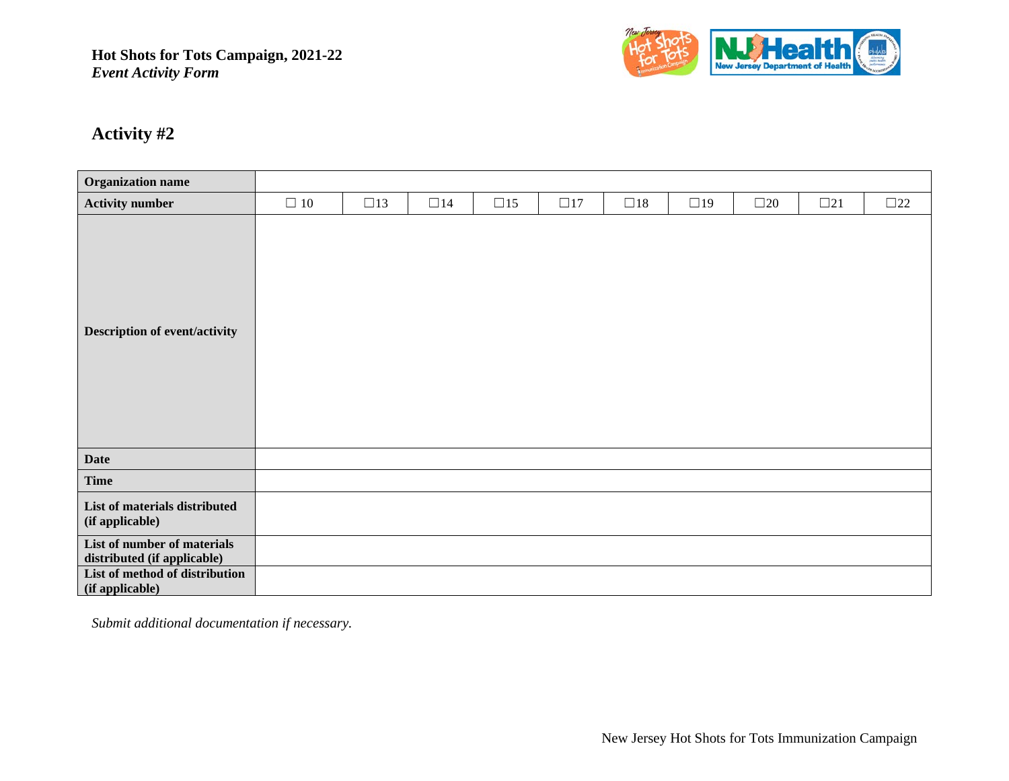

# **Activity #2**

| <b>Organization name</b>                                   |           |              |           |              |          |          |           |              |              |              |
|------------------------------------------------------------|-----------|--------------|-----------|--------------|----------|----------|-----------|--------------|--------------|--------------|
| <b>Activity number</b>                                     | $\Box$ 10 | $\square$ 13 | $\Box$ 14 | $\square$ 15 | $\Box17$ | $\Box18$ | $\Box$ 19 | $\square$ 20 | $\square$ 21 | $\square$ 22 |
| <b>Description of event/activity</b>                       |           |              |           |              |          |          |           |              |              |              |
| <b>Date</b>                                                |           |              |           |              |          |          |           |              |              |              |
| <b>Time</b>                                                |           |              |           |              |          |          |           |              |              |              |
| List of materials distributed<br>(if applicable)           |           |              |           |              |          |          |           |              |              |              |
| List of number of materials<br>distributed (if applicable) |           |              |           |              |          |          |           |              |              |              |
| List of method of distribution<br>(if applicable)          |           |              |           |              |          |          |           |              |              |              |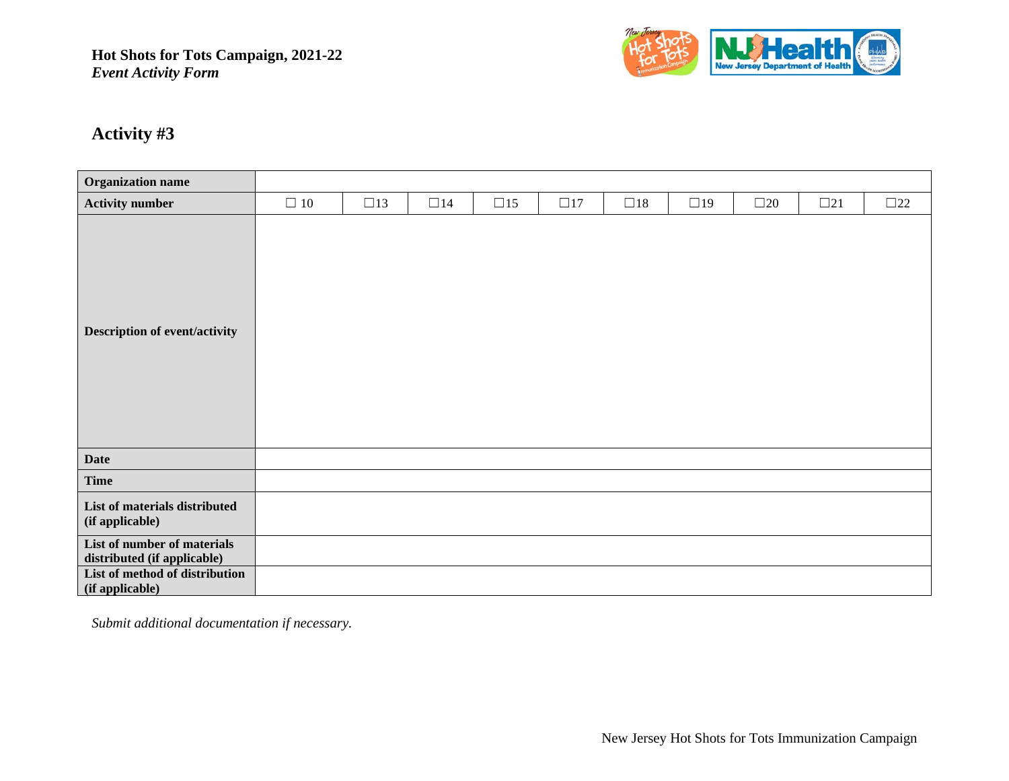

# **Activity #3**

| <b>Organization name</b>                                   |           |              |           |              |          |          |           |              |           |           |
|------------------------------------------------------------|-----------|--------------|-----------|--------------|----------|----------|-----------|--------------|-----------|-----------|
| <b>Activity number</b>                                     | $\Box$ 10 | $\square$ 13 | $\Box$ 14 | $\square$ 15 | $\Box17$ | $\Box18$ | $\Box$ 19 | $\square$ 20 | $\Box 21$ | $\Box 22$ |
| <b>Description of event/activity</b>                       |           |              |           |              |          |          |           |              |           |           |
| <b>Date</b>                                                |           |              |           |              |          |          |           |              |           |           |
| <b>Time</b>                                                |           |              |           |              |          |          |           |              |           |           |
| List of materials distributed<br>(if applicable)           |           |              |           |              |          |          |           |              |           |           |
| List of number of materials<br>distributed (if applicable) |           |              |           |              |          |          |           |              |           |           |
| List of method of distribution<br>(if applicable)          |           |              |           |              |          |          |           |              |           |           |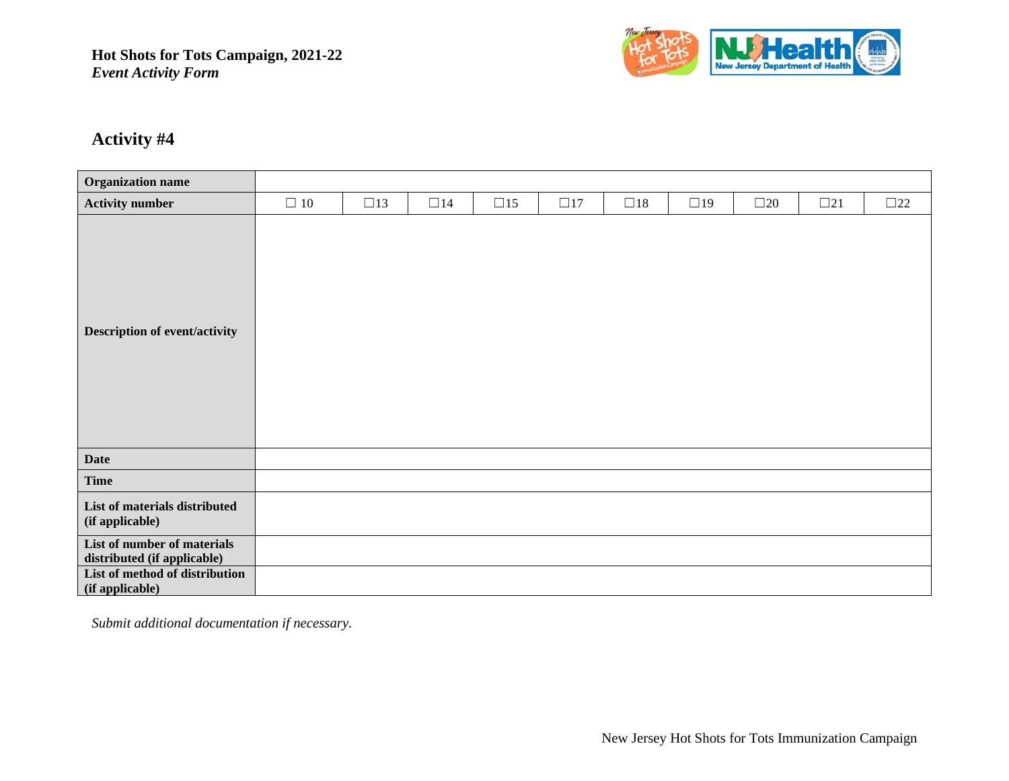

# **Activity #4**

| <b>Organization name</b>                                   |           |              |           |              |              |          |           |              |           |           |
|------------------------------------------------------------|-----------|--------------|-----------|--------------|--------------|----------|-----------|--------------|-----------|-----------|
| <b>Activity number</b>                                     | $\Box$ 10 | $\square$ 13 | $\Box$ 14 | $\square$ 15 | $\square$ 17 | $\Box18$ | $\Box$ 19 | $\square$ 20 | $\Box 21$ | $\Box 22$ |
| <b>Description of event/activity</b>                       |           |              |           |              |              |          |           |              |           |           |
| <b>Date</b>                                                |           |              |           |              |              |          |           |              |           |           |
| <b>Time</b>                                                |           |              |           |              |              |          |           |              |           |           |
| List of materials distributed<br>(if applicable)           |           |              |           |              |              |          |           |              |           |           |
| List of number of materials<br>distributed (if applicable) |           |              |           |              |              |          |           |              |           |           |
| List of method of distribution<br>(if applicable)          |           |              |           |              |              |          |           |              |           |           |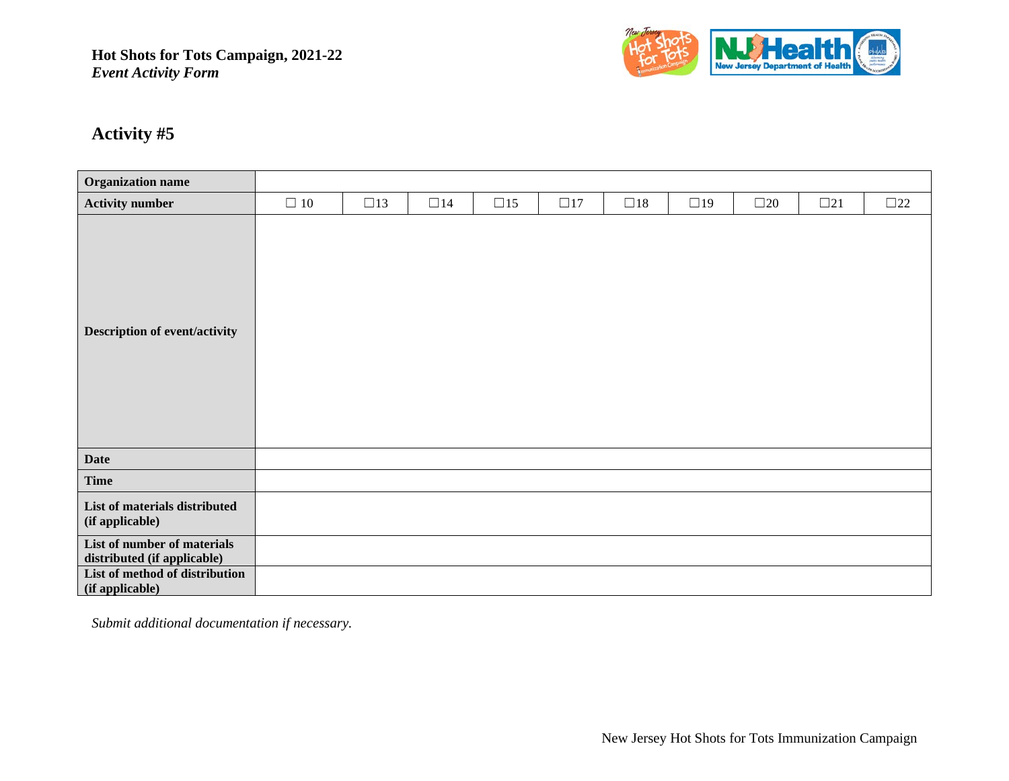

# **Activity #5**

| <b>Organization name</b>                                   |           |              |          |           |          |          |           |              |           |           |
|------------------------------------------------------------|-----------|--------------|----------|-----------|----------|----------|-----------|--------------|-----------|-----------|
|                                                            |           |              |          |           |          |          |           |              |           |           |
| <b>Activity number</b>                                     | $\Box$ 10 | $\square$ 13 | $\Box14$ | $\Box$ 15 | $\Box17$ | $\Box18$ | $\Box$ 19 | $\square$ 20 | $\Box 21$ | $\Box 22$ |
| <b>Description of event/activity</b>                       |           |              |          |           |          |          |           |              |           |           |
| <b>Date</b>                                                |           |              |          |           |          |          |           |              |           |           |
| <b>Time</b>                                                |           |              |          |           |          |          |           |              |           |           |
| List of materials distributed<br>(if applicable)           |           |              |          |           |          |          |           |              |           |           |
| List of number of materials<br>distributed (if applicable) |           |              |          |           |          |          |           |              |           |           |
| List of method of distribution<br>(if applicable)          |           |              |          |           |          |          |           |              |           |           |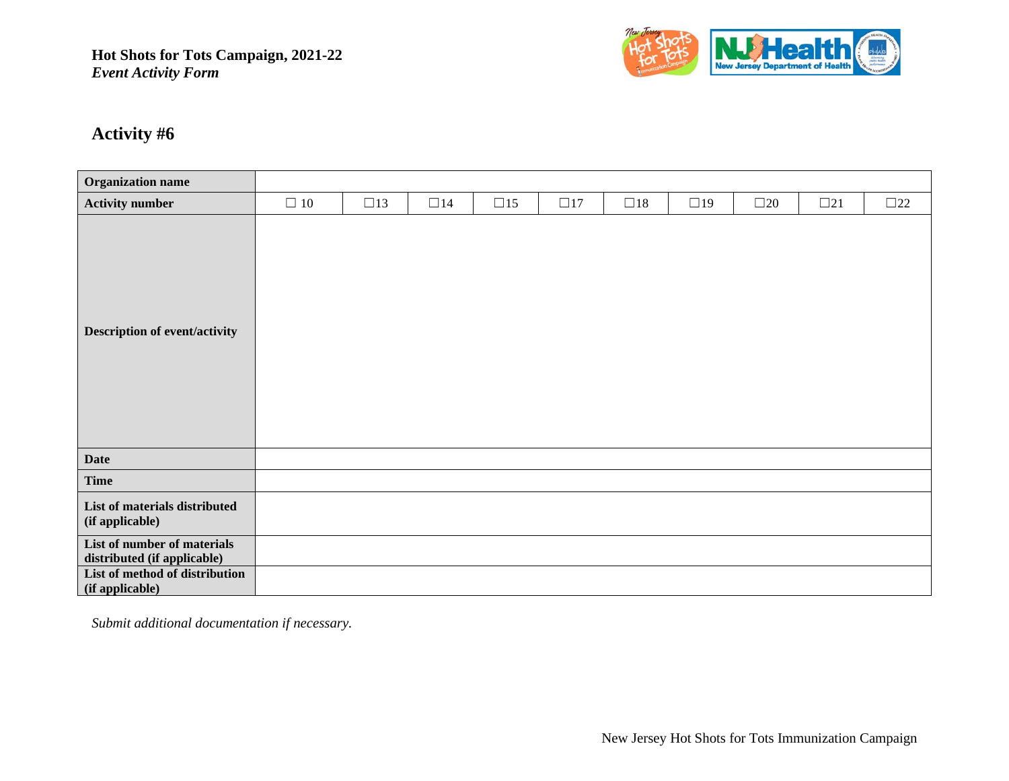

# **Activity #6**

| <b>Organization name</b>                                   |           |              |           |              |          |          |           |              |           |              |
|------------------------------------------------------------|-----------|--------------|-----------|--------------|----------|----------|-----------|--------------|-----------|--------------|
| <b>Activity number</b>                                     | $\Box$ 10 | $\square$ 13 | $\Box$ 14 | $\square$ 15 | $\Box17$ | $\Box18$ | $\Box$ 19 | $\square$ 20 | $\Box 21$ | $\square$ 22 |
| <b>Description of event/activity</b>                       |           |              |           |              |          |          |           |              |           |              |
| <b>Date</b>                                                |           |              |           |              |          |          |           |              |           |              |
| <b>Time</b>                                                |           |              |           |              |          |          |           |              |           |              |
| List of materials distributed<br>(if applicable)           |           |              |           |              |          |          |           |              |           |              |
| List of number of materials<br>distributed (if applicable) |           |              |           |              |          |          |           |              |           |              |
| List of method of distribution<br>(if applicable)          |           |              |           |              |          |          |           |              |           |              |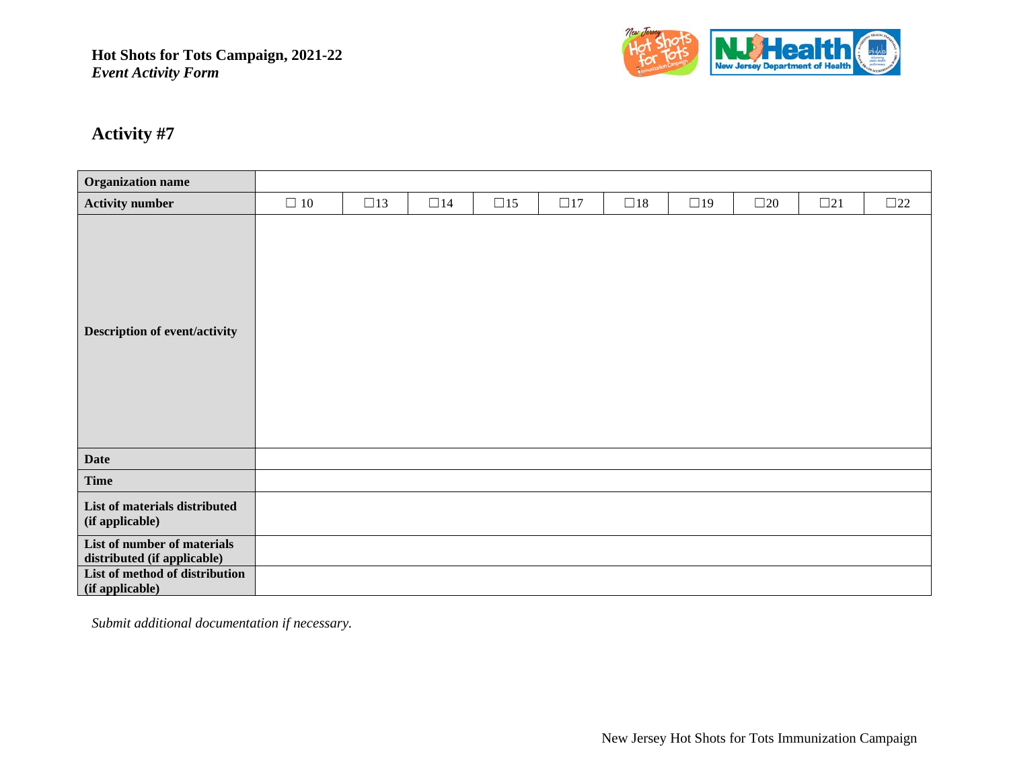

# **Activity #7**

| <b>Organization name</b>                                   |           |              |           |              |          |          |           |              |              |              |
|------------------------------------------------------------|-----------|--------------|-----------|--------------|----------|----------|-----------|--------------|--------------|--------------|
| <b>Activity number</b>                                     | $\Box$ 10 | $\square$ 13 | $\Box$ 14 | $\square$ 15 | $\Box17$ | $\Box18$ | $\Box$ 19 | $\square$ 20 | $\square$ 21 | $\square$ 22 |
| <b>Description of event/activity</b>                       |           |              |           |              |          |          |           |              |              |              |
| <b>Date</b>                                                |           |              |           |              |          |          |           |              |              |              |
| <b>Time</b>                                                |           |              |           |              |          |          |           |              |              |              |
| List of materials distributed<br>(if applicable)           |           |              |           |              |          |          |           |              |              |              |
| List of number of materials<br>distributed (if applicable) |           |              |           |              |          |          |           |              |              |              |
| List of method of distribution<br>(if applicable)          |           |              |           |              |          |          |           |              |              |              |